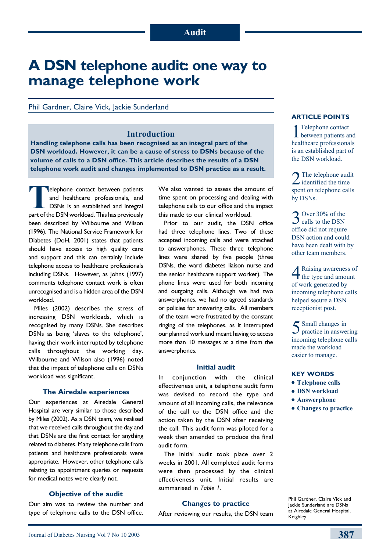# **A DSN telephone audit: one way to manage telephone work**

Phil Gardner, Claire Vick, Jackie Sunderland

### **Introduction**

**Handling telephone calls has been recognised as an integral part of the DSN workload. However, it can be a cause of stress to DSNs because of the volume of calls to a DSN office. This article describes the results of a DSN telephone work audit and changes implemented to DSN practice as a result.**

**Telephone contact between patients** and healthcare professionals, and DSNs is an established and integral part of the DSN workload. This has previously been described by Wilbourne and Wilson (1996). The National Service Framework for Diabetes (DoH, 2001) states that patients should have access to high quality care and support and this can certainly include telephone access to healthcare professionals including DSNs. However, as Johns (1997) comments telephone contact work is often unrecognised and is a hidden area of the DSN workload.

Miles (2002) describes the stress of increasing DSN workloads, which is recognised by many DSNs. She describes DSNs as being 'slaves to the telephone', having their work interrupted by telephone calls throughout the working day. Wilbourne and Wilson also (1996) noted that the impact of telephone calls on DSNs workload was significant.

#### **The Airedale experiences**

Our experiences at Airedale General Hospital are very similar to those described by Miles (2002). As a DSN team, we realised that we received calls throughout the day and that DSNs are the first contact for anything related to diabetes. Many telephone calls from patients and healthcare professionals were appropriate. However, other telephone calls relating to appointment queries or requests for medical notes were clearly not.

#### **Objective of the audit**

Our aim was to review the number and type of telephone calls to the DSN office. We also wanted to assess the amount of time spent on processing and dealing with telephone calls to our office and the impact this made to our clinical workload.

Prior to our audit, the DSN office had three telephone lines. Two of these accepted incoming calls and were attached to answerphones. These three telephone lines were shared by five people (three DSNs, the ward diabetes liaison nurse and the senior healthcare support worker). The phone lines were used for both incoming and outgoing calls. Although we had two answerphones, we had no agreed standards or policies for answering calls. All members of the team were frustrated by the constant ringing of the telephones, as it interrupted our planned work and meant having to access more than 10 messages at a time from the answerphones.

#### **Initial audit**

In conjunction with the clinical effectiveness unit, a telephone audit form was devised to record the type and amount of all incoming calls, the relevance of the call to the DSN office and the action taken by the DSN after receiving the call. This audit form was piloted for a week then amended to produce the final audit form.

The initial audit took place over 2 weeks in 2001. All completed audit forms were then processed by the clinical effectiveness unit. Initial results are summarised in *Table 1*.

#### **Changes to practice**

After reviewing our results, the DSN team

#### **Article points**

1Telephone contact between patients and healthcare professionals is an established part of the DSN workload.

 $2$  The telephone audit spent on telephone calls by DSNs.

3 Over 30% of the DSN<br>calls to the DSN office did not require DSN action and could have been dealt with by other team members.

4Raising awareness of the type and amount of work generated by incoming telephone calls helped secure a DSN receptionist post.

5 Small changes in practice in answering incoming telephone calls made the workload easier to manage.

#### **Key words**

- **Telephone calls**
- **DSN workload**
- $\bullet$  Answerphone
- $\bullet$  Changes to practice

Phil Gardner, Claire Vick and Jackie Sunderland are DSNs at Airedale General Hospital, Keighley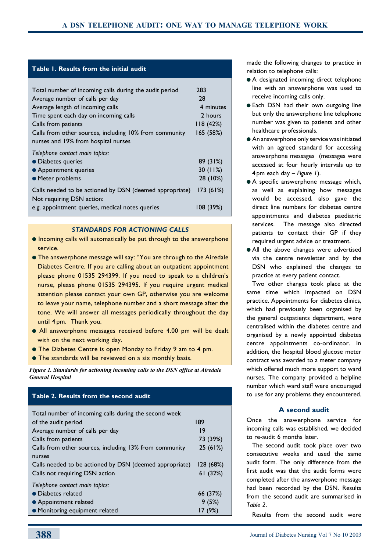#### **Table 1. Results from the initial audit**

| Total number of incoming calls during the audit period  | 283       |
|---------------------------------------------------------|-----------|
| Average number of calls per day                         | 28        |
| Average length of incoming calls                        | 4 minutes |
| Time spent each day on incoming calls                   | 2 hours   |
| Calls from patients                                     | 118(42%)  |
| Calls from other sources, including 10% from community  | 165 (58%) |
| nurses and 19% from hospital nurses                     |           |
| Telephone contact main topics:                          |           |
| • Diabetes queries                                      | 89 (31%)  |
| • Appointment queries                                   | 30(11%)   |
| • Meter problems                                        | 28 (10%)  |
| Calls needed to be actioned by DSN (deemed appropriate) | 173(61%)  |
| Not requiring DSN action:                               |           |
| e.g. appointment queries, medical notes queries         | 108 (39%) |
|                                                         |           |

#### *STANDARDS FOR ACTIONING CALLS*

- $\bullet$  Incoming calls will automatically be put through to the answerphone service.
- **The answerphone message will say: "You are through to the Airedale Constance Anticale** Diabetes Centre. If you are calling about an outpatient appointment please phone 01535 294399. If you need to speak to a children's nurse, please phone 01535 294395. If you require urgent medical attention please contact your own GP, otherwise you are welcome to leave your name, telephone number and a short message after the tone. We will answer all messages periodically throughout the day until 4 pm. Thank you.
- All answerphone messages received before 4.00 pm will be dealt with on the next working day.
- **The Diabetes Centre is open Monday to Friday 9 am to 4 pm.**
- **The standards will be reviewed on a six monthly basis.**

*Figure 1. Standards for actioning incoming calls to the DSN office at Airedale General Hospital*

## Total number of incoming calls during the second week of the audit period and 189 Average number of calls per day 19 Calls from patients 73 (39%) Calls from other sources, including 13% from community 25 (61%) nurses Calls needed to be actioned by DSN (deemed appropriate) 128 (68%) Calls not requiring DSN action 61 (32%) *Telephone contact main topics:* **•** Diabetes related 66 (37%) **•** Appointment related 9 (5%) • Monitoring equipment related 17 (9%) **Table 2. Results from the second audit**

made the following changes to practice in relation to telephone calls:

- A designated incoming direct telephone line with an answerphone was used to receive incoming calls only.
- **Each DSN had their own outgoing line** but only the answerphone line telephone number was given to patients and other healthcare professionals.
- $\bullet$  An answerphone only service was initiated with an agreed standard for accessing answerphone messages (messages were accessed at four hourly intervals up to 4 pm each day – *Figure 1*).
- $\bullet$  A specific answerphone message which, as well as explaining how messages would be accessed, also gave the direct line numbers for diabetes centre appointments and diabetes paediatric services. The message also directed patients to contact their GP if they required urgent advice or treatment.
- All the above changes were advertised via the centre newsletter and by the DSN who explained the changes to practice at every patient contact.

Two other changes took place at the same time which impacted on DSN practice. Appointments for diabetes clinics, which had previously been organised by the general outpatients department, were centralised within the diabetes centre and organised by a newly appointed diabetes centre appointments co-ordinator. In addition, the hospital blood glucose meter contract was awarded to a meter company which offered much more support to ward nurses. The company provided a helpline number which ward staff were encouraged to use for any problems they encountered.

#### **A second audit**

Once the answerphone service for incoming calls was established, we decided to re-audit 6 months later.

The second audit took place over two consecutive weeks and used the same audit form. The only difference from the first audit was that the audit forms were completed after the answerphone message had been recorded by the DSN. Results from the second audit are summarised in *Table 2*.

Results from the second audit were